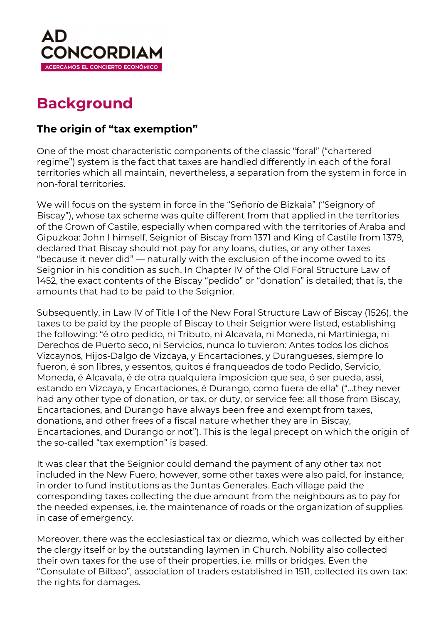

# **Background**

## **The origin of "tax exemption"**

One of the most characteristic components of the classic "foral" ("chartered regime") system is the fact that taxes are handled differently in each of the foral territories which all maintain, nevertheless, a separation from the system in force in non-foral territories.

We will focus on the system in force in the "Señorío de Bizkaia" ("Seignory of Biscay"), whose tax scheme was quite different from that applied in the territories of the Crown of Castile, especially when compared with the territories of Araba and Gipuzkoa: John I himself, Seignior of Biscay from 1371 and King of Castile from 1379, declared that Biscay should not pay for any loans, duties, or any other taxes "because it never did" — naturally with the exclusion of the income owed to its Seignior in his condition as such. In Chapter IV of the Old Foral Structure Law of 1452, the exact contents of the Biscay "pedido" or "donation" is detailed; that is, the amounts that had to be paid to the Seignior.

Subsequently, in Law IV of Title I of the New Foral Structure Law of Biscay (1526), the taxes to be paid by the people of Biscay to their Seignior were listed, establishing the following: "é otro pedido, ni Tributo, ni Alcavala, ni Moneda, ni Martiniega, ni Derechos de Puerto seco, ni Servicios, nunca lo tuvieron: Antes todos los dichos Vizcaynos, Hijos-Dalgo de Vizcaya, y Encartaciones, y Durangueses, siempre lo fueron, é son libres, y essentos, quitos é franqueados de todo Pedido, Servicio, Moneda, é AIcavala, é de otra qualquiera imposicion que sea, ó ser pueda, assi, estando en Vizcaya, y Encartaciones, é Durango, como fuera de ella" ("…they never had any other type of donation, or tax, or duty, or service fee: all those from Biscay, Encartaciones, and Durango have always been free and exempt from taxes, donations, and other frees of a fiscal nature whether they are in Biscay, Encartaciones, and Durango or not"). This is the legal precept on which the origin of the so-called "tax exemption" is based.

It was clear that the Seignior could demand the payment of any other tax not included in the New Fuero, however, some other taxes were also paid, for instance, in order to fund institutions as the Juntas Generales. Each village paid the corresponding taxes collecting the due amount from the neighbours as to pay for the needed expenses, i.e. the maintenance of roads or the organization of supplies in case of emergency.

Moreover, there was the ecclesiastical tax or diezmo, which was collected by either the clergy itself or by the outstanding laymen in Church. Nobility also collected their own taxes for the use of their properties, i.e. mills or bridges. Even the "Consulate of Bilbao", association of traders established in 1511, collected its own tax: the rights for damages.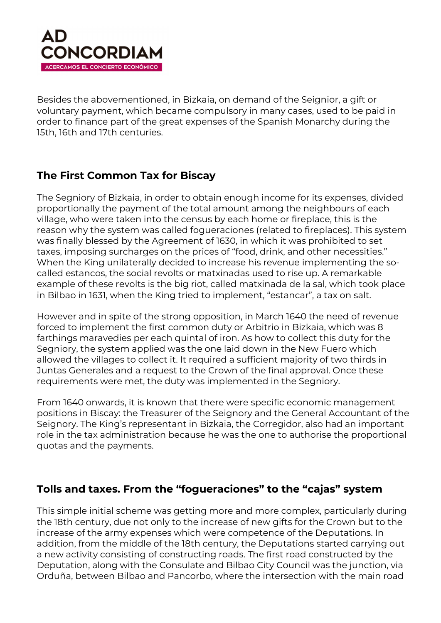

Besides the abovementioned, in Bizkaia, on demand of the Seignior, a gift or voluntary payment, which became compulsory in many cases, used to be paid in order to finance part of the great expenses of the Spanish Monarchy during the 15th, 16th and 17th centuries.

### **The First Common Tax for Biscay**

The Segniory of Bizkaia, in order to obtain enough income for its expenses, divided proportionally the payment of the total amount among the neighbours of each village, who were taken into the census by each home or fireplace, this is the reason why the system was called fogueraciones (related to fireplaces). This system was finally blessed by the Agreement of 1630, in which it was prohibited to set taxes, imposing surcharges on the prices of "food, drink, and other necessities." When the King unilaterally decided to increase his revenue implementing the socalled estancos, the social revolts or matxinadas used to rise up. A remarkable example of these revolts is the big riot, called matxinada de la sal, which took place in Bilbao in 1631, when the King tried to implement, "estancar", a tax on salt.

However and in spite of the strong opposition, in March 1640 the need of revenue forced to implement the first common duty or Arbitrio in Bizkaia, which was 8 farthings maravedies per each quintal of iron. As how to collect this duty for the Segniory, the system applied was the one laid down in the New Fuero which allowed the villages to collect it. It required a sufficient majority of two thirds in Juntas Generales and a request to the Crown of the final approval. Once these requirements were met, the duty was implemented in the Segniory.

From 1640 onwards, it is known that there were specific economic management positions in Biscay: the Treasurer of the Seignory and the General Accountant of the Seignory. The King's representant in Bizkaia, the Corregidor, also had an important role in the tax administration because he was the one to authorise the proportional quotas and the payments.

#### **Tolls and taxes. From the "fogueraciones" to the "cajas" system**

This simple initial scheme was getting more and more complex, particularly during the 18th century, due not only to the increase of new gifts for the Crown but to the increase of the army expenses which were competence of the Deputations. In addition, from the middle of the 18th century, the Deputations started carrying out a new activity consisting of constructing roads. The first road constructed by the Deputation, along with the Consulate and Bilbao City Council was the junction, via Orduña, between Bilbao and Pancorbo, where the intersection with the main road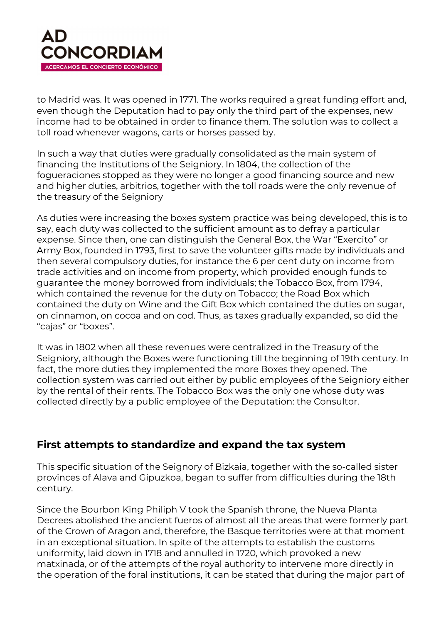

to Madrid was. It was opened in 1771. The works required a great funding effort and, even though the Deputation had to pay only the third part of the expenses, new income had to be obtained in order to finance them. The solution was to collect a toll road whenever wagons, carts or horses passed by.

In such a way that duties were gradually consolidated as the main system of financing the Institutions of the Seigniory. In 1804, the collection of the fogueraciones stopped as they were no longer a good financing source and new and higher duties, arbitrios, together with the toll roads were the only revenue of the treasury of the Seigniory

As duties were increasing the boxes system practice was being developed, this is to say, each duty was collected to the sufficient amount as to defray a particular expense. Since then, one can distinguish the General Box, the War "Exercito" or Army Box, founded in 1793, first to save the volunteer gifts made by individuals and then several compulsory duties, for instance the 6 per cent duty on income from trade activities and on income from property, which provided enough funds to guarantee the money borrowed from individuals; the Tobacco Box, from 1794, which contained the revenue for the duty on Tobacco; the Road Box which contained the duty on Wine and the Gift Box which contained the duties on sugar, on cinnamon, on cocoa and on cod. Thus, as taxes gradually expanded, so did the "cajas" or "boxes".

It was in 1802 when all these revenues were centralized in the Treasury of the Seigniory, although the Boxes were functioning till the beginning of 19th century. In fact, the more duties they implemented the more Boxes they opened. The collection system was carried out either by public employees of the Seigniory either by the rental of their rents. The Tobacco Box was the only one whose duty was collected directly by a public employee of the Deputation: the Consultor.

#### **First attempts to standardize and expand the tax system**

This specific situation of the Seignory of Bizkaia, together with the so-called sister provinces of Alava and Gipuzkoa, began to suffer from difficulties during the 18th century.

Since the Bourbon King Philiph V took the Spanish throne, the Nueva Planta Decrees abolished the ancient fueros of almost all the areas that were formerly part of the Crown of Aragon and, therefore, the Basque territories were at that moment in an exceptional situation. In spite of the attempts to establish the customs uniformity, laid down in 1718 and annulled in 1720, which provoked a new matxinada, or of the attempts of the royal authority to intervene more directly in the operation of the foral institutions, it can be stated that during the major part of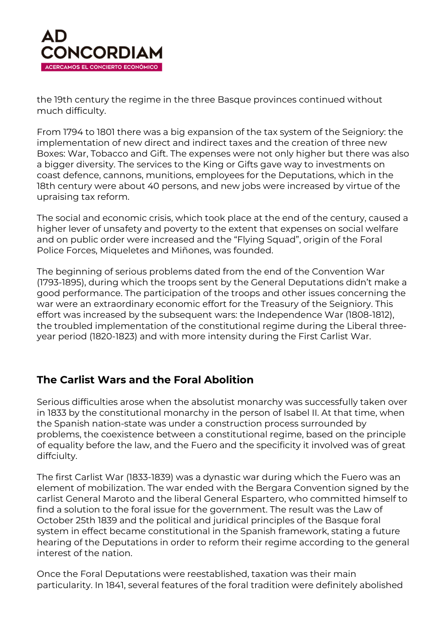

the 19th century the regime in the three Basque provinces continued without much difficulty.

From 1794 to 1801 there was a big expansion of the tax system of the Seigniory: the implementation of new direct and indirect taxes and the creation of three new Boxes: War, Tobacco and Gift. The expenses were not only higher but there was also a bigger diversity. The services to the King or Gifts gave way to investments on coast defence, cannons, munitions, employees for the Deputations, which in the 18th century were about 40 persons, and new jobs were increased by virtue of the upraising tax reform.

The social and economic crisis, which took place at the end of the century, caused a higher lever of unsafety and poverty to the extent that expenses on social welfare and on public order were increased and the "Flying Squad", origin of the Foral Police Forces, Miqueletes and Miñones, was founded.

The beginning of serious problems dated from the end of the Convention War (1793-1895), during which the troops sent by the General Deputations didn't make a good performance. The participation of the troops and other issues concerning the war were an extraordinary economic effort for the Treasury of the Seigniory. This effort was increased by the subsequent wars: the Independence War (1808-1812), the troubled implementation of the constitutional regime during the Liberal threeyear period (1820-1823) and with more intensity during the First Carlist War.

#### **The Carlist Wars and the Foral Abolition**

Serious difficulties arose when the absolutist monarchy was successfully taken over in 1833 by the constitutional monarchy in the person of Isabel II. At that time, when the Spanish nation-state was under a construction process surrounded by problems, the coexistence between a constitutional regime, based on the principle of equality before the law, and the Fuero and the specificity it involved was of great diffciulty.

The first Carlist War (1833-1839) was a dynastic war during which the Fuero was an element of mobilization. The war ended with the Bergara Convention signed by the carlist General Maroto and the liberal General Espartero, who committed himself to find a solution to the foral issue for the government. The result was the Law of October 25th 1839 and the political and juridical principles of the Basque foral system in effect became constitutional in the Spanish framework, stating a future hearing of the Deputations in order to reform their regime according to the general interest of the nation.

Once the Foral Deputations were reestablished, taxation was their main particularity. In 1841, several features of the foral tradition were definitely abolished